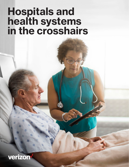# **Hospitals and health systems in the crosshairs**

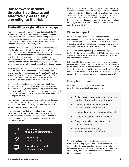## **Ransomware attacks threaten healthcare, but effective cybersecurity can mitigate the risk**

### **The healthcare cyberattack landscape**

The healthcare industry has been hit hard during the COVID-19 pandemic, and not just by health-related challenges. Cybersecurity attacks also have increased, with bad actors taking advantage of the uncertain environment, increased remote work and spiking care needs, and creating expensive and logistically difficult problems for hospitals and health systems.

Healthcare breaches totaled 599 in 2020, an increase of 55.1%<sup>1</sup> from the prior year, and they topped 550 again in 2021 as bad actors took advantage of employee distractions, such as working from home while caring for children and concerns about job security, says David Grady, chief cybersecurity evangelist with Verizon Business Group. These factors made people more vulnerable to clicking on unsafe links, and healthcare industry attacks in 2020 were nearly on par with other industries, such as the financial sector.

Ransomware attacks, where cyberattackers demand a ransom to restore access to files or networks, are increasing as well a trend that is likely to continue this year.<sup>2</sup> In 2020, 560 healthcare organizations fell victim to ransomware attacks,<sup>3</sup> and a 2021 worldwide survey of healthcare and public health organizations found 34% were hit by ransomware in the past year.<sup>4</sup>

More recently, a new dimension to ransomware attacks has emerged, with hackers not only encrypting data and making it impossible to access, but also stealing it. They demand an initial ransom to unlock the data, so the healthcare organization can use it, and then demand a second ransom in exchange for not publicizing or selling it on the dark web.

There has also been an increase in demand for payment to avoid a distributed denial of service attack, which is when a bad actor overwhelms an organization's IT systems and servers with a tidal wave of requests that can knock it offline.

It may seem surprising that cybercriminals would target hospitals and other healthcare entities, and this belief can lead to a false sense of security. As a result, many organizations are inadequately protected against ransomware, which typically infects machines via:<sup>5</sup>



Phishing emails with a malicious attachment.

A user clicking on a malicious link.

A user viewing an advertisement containing malware.

Healthcare organizations may think they will be spared from these types of attacks because they do meaningful and compassionate work, but that is wishful thinking, Grady says, noting, "The bad guys are heartless and see healthcare organizations as an easy target." They focus on organizations they view as vulnerable, or as very likely to pay a ransom because it is essential to resume operations as quickly as possible. In addition, health data has a high value in black markets online.<sup>6</sup>

## **Financial impact**

Healthcare organizations can face significant financial consequences after an attack. The average ransomware payment for healthcare and public health sectors is \$131,000. When including the costs of downtime, worker hours, device costs, networks and lost opportunity, the total expenditure can reach up to \$1.27 million.4

Ransomware attacks specifically cost healthcare organizations \$20.8 billion in downtime in 2020,3 and 10% of data breaches over the past 12 months started with ransomware and led to extortion and operational downtime.7

In October 2020, a ransomware attack on one university health network delayed patient care and cost the health system more than \$63 million in lost revenue and resulting increased expenses, even though the network chose not to pay the ransom. The attack affected computers and patient medical records in six hospitals, and patients, including those with cancer, experienced delays in treatment.<sup>8</sup>

## **Disruption to care**

Care disruptions are common with ransomware as well as other cyberattacks and can result from:9

- Stolen, leaked or encrypted medical records or other data needed for normal operations.10
- Damage or loss of service to medical devices or other critical systems.
- Closure of departments and entire hospitals.
- Diversion of patients to other hospitals.<sup>6</sup>
- Delay or cancellation of critical primary care and treatment.
- Effects on secondary care, such as obtaining medical results.

These disruptions could lead to dire consequences. In a survey of 597 health delivery organizations,<sup>11</sup> 71% of respondents said a successful cyberattack resulted in longer lengths of stay for patients, and about the same percentage said ransomware attacks created delays in medical procedures and tests that resulted in poor outcomes for patients.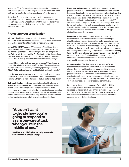Meanwhile, 36% of respondents saw an increase in complications from medical procedures following a ransomware attack, and about a fifth said cyberattacks had increased patients' mortality rate.

Disruption of care can also leave organizations exposed to longerterm repercussions, including lawsuits. In Alabama, a lawsuit has been brought against a hospital, alleging that care shortfalls linked to a ransomware attack led to a severe brain injury and subsequent death of a newborn.<sup>12</sup>

#### **Protecting your organization**

Attacks on healthcare systems continue to make headlines, but there is often a disconnect between concerns about cyberattack risks and the commitment to invest in protective measures.

An April 2021 HIMSS survey of IT leaders in US healthcare found nearly half identified cybersecurity, hackers and malware as their top technology concerns.13 Meanwhile, just 9% were completely comfortable with their current Wi-Fi infrastructure. But despite these concerns, recent research from CyberMDX and Philips shows most hospitals fail to identify cybersecurity as an investment priority.10

Annual IT budgets for midsize hospitals averaged \$3.5 million, and for large hospitals the average was \$3.1 million.10 But annual internet of things and medical device cybersecurity spending averaged \$293,000 for midsize hospitals and \$329,000 for large hospitals.10

Hospitals and health systems that recognize the risk of ransomware and want to defend themselves should create a cybersecurity program with some of the best practices that will better protect them.14

**Risk identification:** Healthcare organizations should make use of publicly available intelligence, such as cyberthreat intelligence feeds, to learn about device vulnerabilities and early indications that a ransomware or malware attack might be imminent. Advanced analytics and user and entity behavior patterns can also help uncover unknown threats. It's important to perform recurring cybersecurity assessments and penetration testing, and to fix any vulnerabilities identified.

**Protection and preparation:** Healthcare organizations must prepare for worst-case scenarios. Data should be backed up daily to a secure location. Employee training and simulated attacks are key to ensuring everyone is aware of the danger signals of ransomware, malware and suspicious emails. Meanwhile, organizations should implement multifactor authentication for remote access to OT and IT networks, strong spam filters to block phishing emails, filters for network traffic, regular software updates, and regular network scans by antivirus and anti-malwareprograms.<sup>4</sup> Protection against DDoS threats will also become more important, as this type of attack is expected to increase.

**Detection:** All devices and system users that connect to the network, as well as their network access methodologies, should be discovered and documented, and organizations should maintain an up-to-date list of all authorized devices. There also has been a recent advance in "deception as a service," which involves setting up a dummy copy of an organization's systems to fool hackers into thinking they are attacking the right target. This gives the security team insight into an attack underway so they can contain it and better protect their systems. Finally, healthcare organizations should be able to detect unauthorized exfiltration or removal of data, which could mean an attack is starting.

**A response plan:** "You don't want to decide how you're going to respond to a ransomware attack when you're in the middle of one," Grady warns. Organizations should decide what course of action they will take well before an attack happens and should prepare for worst-case scenarios. This includes determining whether they will budget to pay the ransom and developing a plan to recover systems and data by using retrieved backup data storage. They will also need a process for post-incident analysis.

In addition to those four components, CyberMDX and Philips found approximately 3 in 4 have considered wireless router upgrades, and close to half are planning to migrate to 5G service.13 Along with better data security, they're looking at how they can use the network to enhance the clinical experience, streamline operations and get better data faster.

**"You don't want to decide how you're going to respond to a ransomware attack when you're in the middle of one."**

**David Grady, chief cybersecurity evangelist with Verizon Business Group**

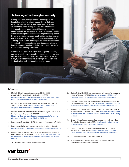### **Achieving effective cybersecurity**

Getting cybersecurity right can be a daunting task for hospitals and health systems, especially now that many organizations have seen a reduction in revenue, as well as staff burnout, due to the pandemic. This often means that security resources and capabilities are reduced or underfunded. Even before the pandemic, more than one-third of healthcare organizations eased their cybersecurity burden by working with partners, and nearly 25% prefer to implement or manage their networks through a fully managed service.13 Working with a partner that can provide specialized services, threat intelligence, deception as a service, preparation and instant response planning can help an organization get more return on their security investment.

Whether your organization works with a reputable security partner or handles cybersecurity in-house, ensuring you have up-to-date knowledge, software and employee training will help you avoid costly, dangerous interruptions and provide the best, safest and most consistent patient care.



- 1. Mitchell, H. Healthcare data breaches up 55.1% in 2020, report finds. Becker's Hospital Review. Feb. 22, 2021. https://www.beckershospitalreview.com/cybersecurity/healthcaredata-breaches-up-55-1-in-2020-report-finds.html
- 2. McKeon, J. This year's largest healthcare data breaches. Health IT Security. Nov. 30, 2021. https://healthitsecurity.com/features/ this-years-largest-healthcare-data-breaches
- 3. Mitchell, H. Ransomware attacks cost healthcare orgs \$20.8B in 2020. Becker's Hospital Review. July 28, 2021. https://www.beckershospitalreview.com/cybersecurity/ransomwareattacks-cost-healthcare-orgs-20-8b-in-2020.html
- 4. Ransomware Trends 2021. HHS Cybersecurity Program. June 3, 2021.
- 5. Ransomware: In the healthcare sector. Center for Internet Security. https://www.cisecurity.org/blog/ransomware-in-the-healthcare-sector
- 6. McKeon, J. 39 ransomware groups targeted healthcare in the past 18 months. Health IT Security. Dec. 17, 2021. https://healthitsecurity.com/ news/39-ransomware-groups-targeted-healthcare-in-the-past-18 months
- 7. 2021 Verizon Data Breach Investigations Report.
- 8. Cutler, C. UVM Health Network continues to tally costs of ransomware attack. WCAX. June 17, 2021. https://www.wcax.com/2021/06/17/ uvm-health-network-continues-tally-costs-ransomware-attack/
- 9. Costis, A. Ransomware and targeted attacks in the healthcare sector. Security Boulevard. Sept. 23, 2021. https://securityboulevard.com/2021 /09/ransomware-and-targeted-attacks-in-the-healthcare-sector/
- 10. McKeon, J. 2021's top healthcare cybersecurity threats, what's coming in 2022. Health IT Security. Oct. 19, 2021. https://healthitsecurity.com/ features/2021s-top-healthcare-cybersecurity-threats-whats-comingin-2022
- 11. Bisson, D. Hospital ransomware attacks go beyond health care data. Security Intelligence. Nov. 24, 2021. https://securityintelligence.com/ articles/hospital-ransomware-health-care-data/
- 12. Collier, K. Baby died because of ransomware attack on hospital, suit says. NBC. Sept. 30, 2021. https://www.nbcnews.com/news/ baby-died-due-ransomware-attack-hospital-suit-claims-rcna2465
- 13. 5G in Healthcare. HIMSS/Verizon. June 2021.
- 14. The way forward: A guide to help prevent ransomware attacks and strengthen cybersecurity. Verizon.